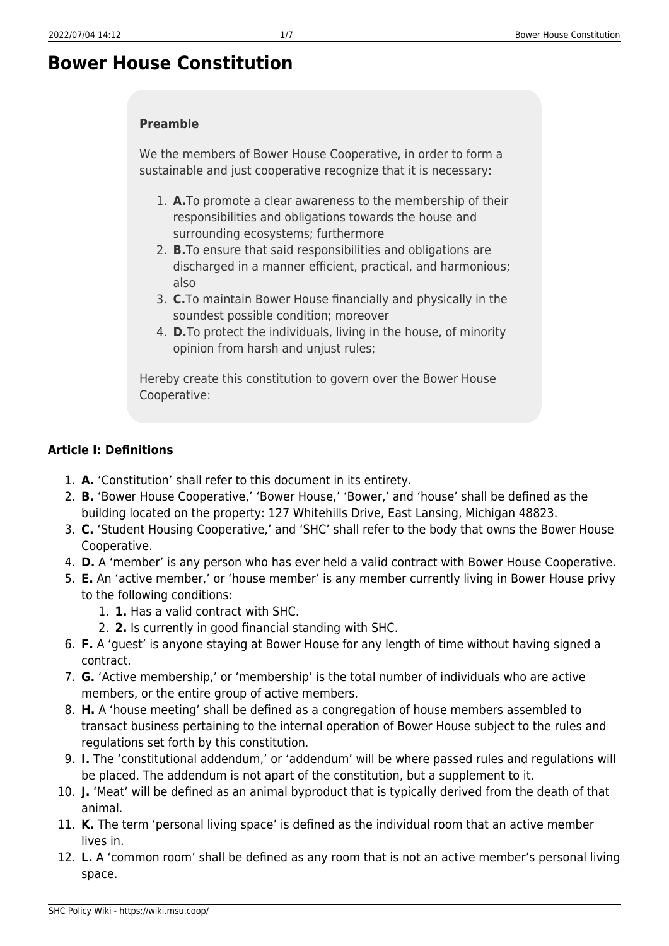# **Bower House Constitution**

#### **Preamble**

We the members of Bower House Cooperative, in order to form a sustainable and just cooperative recognize that it is necessary:

- 1. **A.**To promote a clear awareness to the membership of their responsibilities and obligations towards the house and surrounding ecosystems; furthermore
- 2. **B.**To ensure that said responsibilities and obligations are discharged in a manner efficient, practical, and harmonious; also
- 3. **C.**To maintain Bower House financially and physically in the soundest possible condition; moreover
- 4. **D.**To protect the individuals, living in the house, of minority opinion from harsh and unjust rules;

Hereby create this constitution to govern over the Bower House Cooperative:

#### **Article I: Definitions**

- 1. **A.** 'Constitution' shall refer to this document in its entirety.
- 2. **B.** 'Bower House Cooperative,' 'Bower House,' 'Bower,' and 'house' shall be defined as the building located on the property: 127 Whitehills Drive, East Lansing, Michigan 48823.
- 3. **C.** 'Student Housing Cooperative,' and 'SHC' shall refer to the body that owns the Bower House Cooperative.
- 4. **D.** A 'member' is any person who has ever held a valid contract with Bower House Cooperative.
- 5. **E.** An 'active member,' or 'house member' is any member currently living in Bower House privy to the following conditions:
	- 1. **1.** Has a valid contract with SHC.
	- 2. **2.** Is currently in good financial standing with SHC.
- 6. **F.** A 'guest' is anyone staying at Bower House for any length of time without having signed a contract.
- 7. **G.** 'Active membership,' or 'membership' is the total number of individuals who are active members, or the entire group of active members.
- 8. **H.** A 'house meeting' shall be defined as a congregation of house members assembled to transact business pertaining to the internal operation of Bower House subject to the rules and regulations set forth by this constitution.
- 9. **I.** The 'constitutional addendum,' or 'addendum' will be where passed rules and regulations will be placed. The addendum is not apart of the constitution, but a supplement to it.
- 10. **J.** 'Meat' will be defined as an animal byproduct that is typically derived from the death of that animal.
- 11. **K.** The term 'personal living space' is defined as the individual room that an active member lives in.
- 12. **L.** A 'common room' shall be defined as any room that is not an active member's personal living space.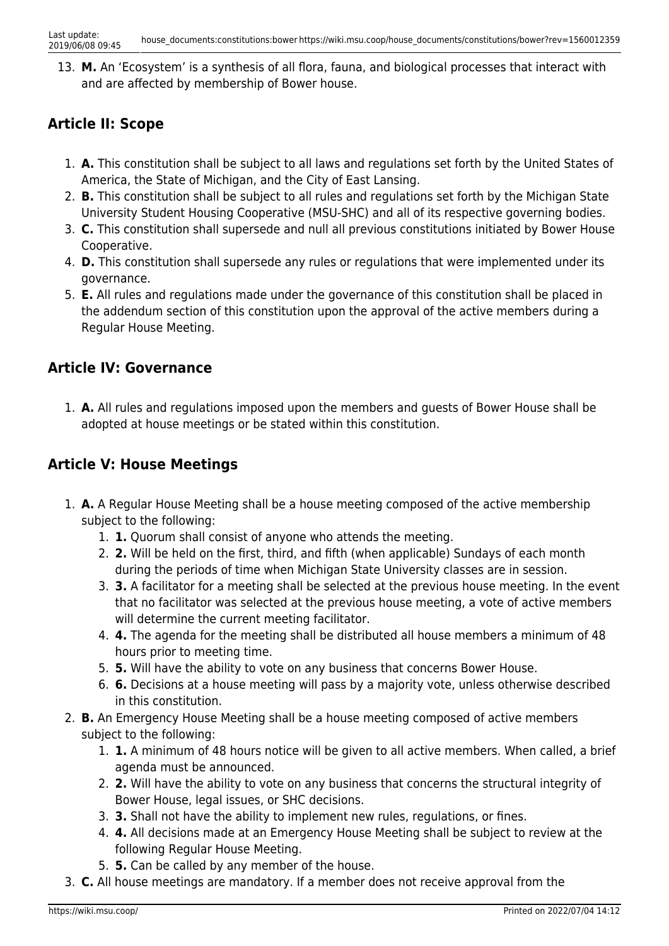13. **M.** An 'Ecosystem' is a synthesis of all flora, fauna, and biological processes that interact with and are affected by membership of Bower house.

### **Article II: Scope**

- 1. **A.** This constitution shall be subject to all laws and regulations set forth by the United States of America, the State of Michigan, and the City of East Lansing.
- 2. **B.** This constitution shall be subject to all rules and regulations set forth by the Michigan State University Student Housing Cooperative (MSU-SHC) and all of its respective governing bodies.
- 3. **C.** This constitution shall supersede and null all previous constitutions initiated by Bower House Cooperative.
- 4. **D.** This constitution shall supersede any rules or regulations that were implemented under its governance.
- 5. **E.** All rules and regulations made under the governance of this constitution shall be placed in the addendum section of this constitution upon the approval of the active members during a Regular House Meeting.

### **Article IV: Governance**

1. **A.** All rules and regulations imposed upon the members and guests of Bower House shall be adopted at house meetings or be stated within this constitution.

### **Article V: House Meetings**

- 1. **A.** A Regular House Meeting shall be a house meeting composed of the active membership subject to the following:
	- 1. **1.** Quorum shall consist of anyone who attends the meeting.
	- 2. **2.** Will be held on the first, third, and fifth (when applicable) Sundays of each month during the periods of time when Michigan State University classes are in session.
	- 3. **3.** A facilitator for a meeting shall be selected at the previous house meeting. In the event that no facilitator was selected at the previous house meeting, a vote of active members will determine the current meeting facilitator.
	- 4. **4.** The agenda for the meeting shall be distributed all house members a minimum of 48 hours prior to meeting time.
	- 5. **5.** Will have the ability to vote on any business that concerns Bower House.
	- 6. **6.** Decisions at a house meeting will pass by a majority vote, unless otherwise described in this constitution.
- 2. **B.** An Emergency House Meeting shall be a house meeting composed of active members subject to the following:
	- 1. **1.** A minimum of 48 hours notice will be given to all active members. When called, a brief agenda must be announced.
	- 2. **2.** Will have the ability to vote on any business that concerns the structural integrity of Bower House, legal issues, or SHC decisions.
	- 3. **3.** Shall not have the ability to implement new rules, regulations, or fines.
	- 4. **4.** All decisions made at an Emergency House Meeting shall be subject to review at the following Regular House Meeting.
	- 5. **5.** Can be called by any member of the house.
- 3. **C.** All house meetings are mandatory. If a member does not receive approval from the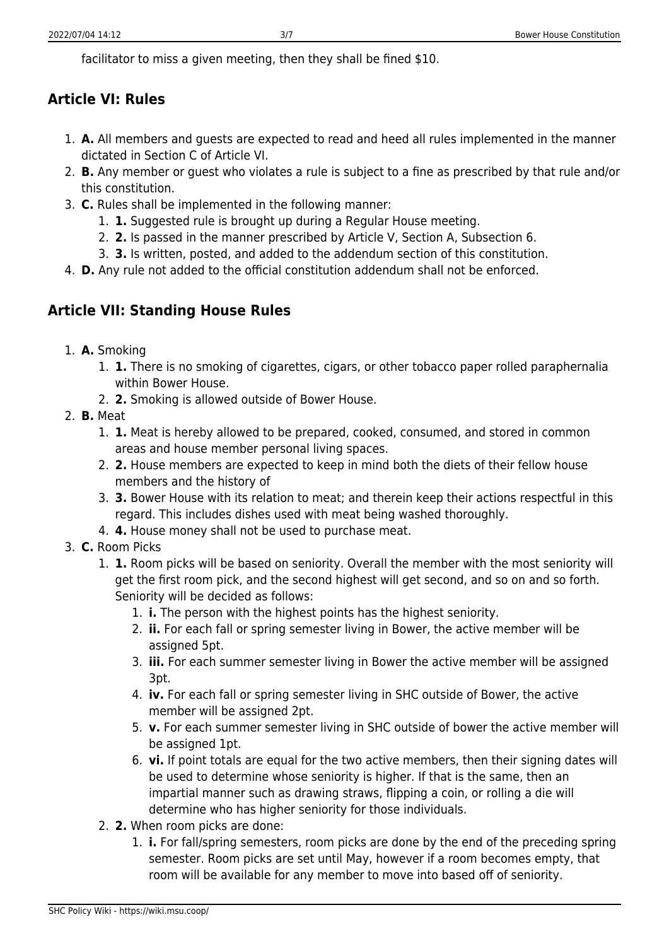facilitator to miss a given meeting, then they shall be fined \$10.

## **Article VI: Rules**

- 1. **A.** All members and guests are expected to read and heed all rules implemented in the manner dictated in Section C of Article VI.
- 2. **B.** Any member or guest who violates a rule is subject to a fine as prescribed by that rule and/or this constitution.
- 3. **C.** Rules shall be implemented in the following manner:
	- 1. **1.** Suggested rule is brought up during a Regular House meeting.
	- 2. **2.** Is passed in the manner prescribed by Article V, Section A, Subsection 6.
	- 3. **3.** Is written, posted, and added to the addendum section of this constitution.
- 4. **D.** Any rule not added to the official constitution addendum shall not be enforced.

## **Article VII: Standing House Rules**

- 1. **A.** Smoking
	- 1. **1.** There is no smoking of cigarettes, cigars, or other tobacco paper rolled paraphernalia within Bower House.
	- 2. **2.** Smoking is allowed outside of Bower House.
- 2. **B.** Meat
	- 1. **1.** Meat is hereby allowed to be prepared, cooked, consumed, and stored in common areas and house member personal living spaces.
	- 2. **2.** House members are expected to keep in mind both the diets of their fellow house members and the history of
	- 3. **3.** Bower House with its relation to meat; and therein keep their actions respectful in this regard. This includes dishes used with meat being washed thoroughly.
	- 4. **4.** House money shall not be used to purchase meat.
- 3. **C.** Room Picks
	- 1. **1.** Room picks will be based on seniority. Overall the member with the most seniority will get the first room pick, and the second highest will get second, and so on and so forth. Seniority will be decided as follows:
		- 1. **i.** The person with the highest points has the highest seniority.
		- 2. **ii.** For each fall or spring semester living in Bower, the active member will be assigned 5pt.
		- 3. **iii.** For each summer semester living in Bower the active member will be assigned 3pt.
		- 4. **iv.** For each fall or spring semester living in SHC outside of Bower, the active member will be assigned 2pt.
		- 5. **v.** For each summer semester living in SHC outside of bower the active member will be assigned 1pt.
		- 6. **vi.** If point totals are equal for the two active members, then their signing dates will be used to determine whose seniority is higher. If that is the same, then an impartial manner such as drawing straws, flipping a coin, or rolling a die will determine who has higher seniority for those individuals.
	- 2. **2.** When room picks are done:
		- 1. **i.** For fall/spring semesters, room picks are done by the end of the preceding spring semester. Room picks are set until May, however if a room becomes empty, that room will be available for any member to move into based off of seniority.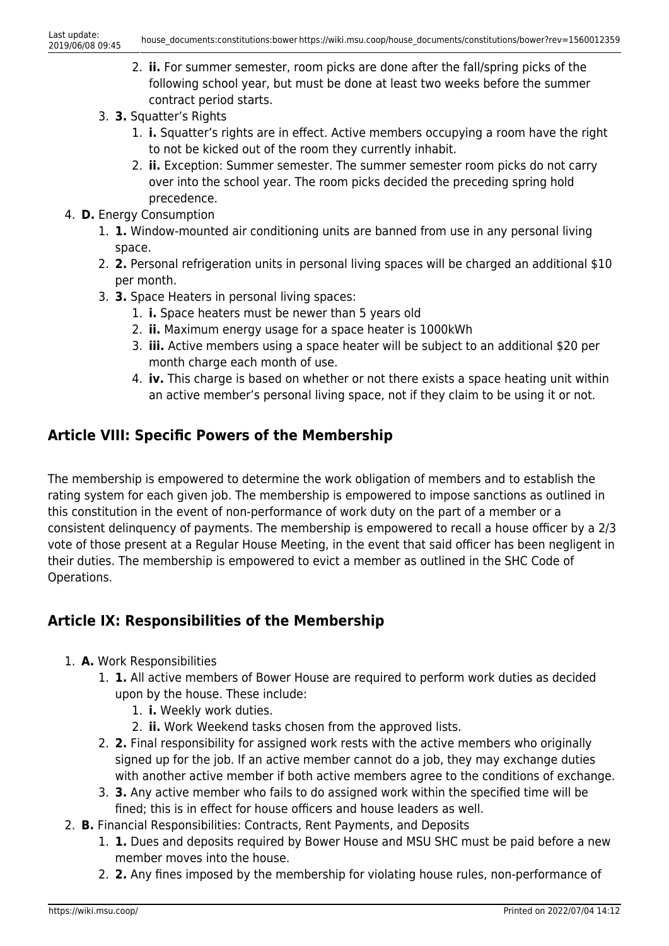- 2. **ii.** For summer semester, room picks are done after the fall/spring picks of the following school year, but must be done at least two weeks before the summer contract period starts.
- 3. **3.** Squatter's Rights
	- 1. **i.** Squatter's rights are in effect. Active members occupying a room have the right to not be kicked out of the room they currently inhabit.
	- 2. **ii.** Exception: Summer semester. The summer semester room picks do not carry over into the school year. The room picks decided the preceding spring hold precedence.
- 4. **D.** Energy Consumption
	- 1. **1.** Window-mounted air conditioning units are banned from use in any personal living space.
	- 2. **2.** Personal refrigeration units in personal living spaces will be charged an additional \$10 per month.
	- 3. **3.** Space Heaters in personal living spaces:
		- 1. **i.** Space heaters must be newer than 5 years old
		- 2. **ii.** Maximum energy usage for a space heater is 1000kWh
		- 3. **iii.** Active members using a space heater will be subject to an additional \$20 per month charge each month of use.
		- 4. **iv.** This charge is based on whether or not there exists a space heating unit within an active member's personal living space, not if they claim to be using it or not.

### **Article VIII: Specific Powers of the Membership**

The membership is empowered to determine the work obligation of members and to establish the rating system for each given job. The membership is empowered to impose sanctions as outlined in this constitution in the event of non-performance of work duty on the part of a member or a consistent delinquency of payments. The membership is empowered to recall a house officer by a 2/3 vote of those present at a Regular House Meeting, in the event that said officer has been negligent in their duties. The membership is empowered to evict a member as outlined in the SHC Code of Operations.

### **Article IX: Responsibilities of the Membership**

- 1. **A.** Work Responsibilities
	- 1. **1.** All active members of Bower House are required to perform work duties as decided upon by the house. These include:
		- 1. **i.** Weekly work duties.
		- 2. **ii.** Work Weekend tasks chosen from the approved lists.
	- 2. **2.** Final responsibility for assigned work rests with the active members who originally signed up for the job. If an active member cannot do a job, they may exchange duties with another active member if both active members agree to the conditions of exchange.
	- 3. **3.** Any active member who fails to do assigned work within the specified time will be fined; this is in effect for house officers and house leaders as well.
- 2. **B.** Financial Responsibilities: Contracts, Rent Payments, and Deposits
	- 1. **1.** Dues and deposits required by Bower House and MSU SHC must be paid before a new member moves into the house.
		- 2. **2.** Any fines imposed by the membership for violating house rules, non-performance of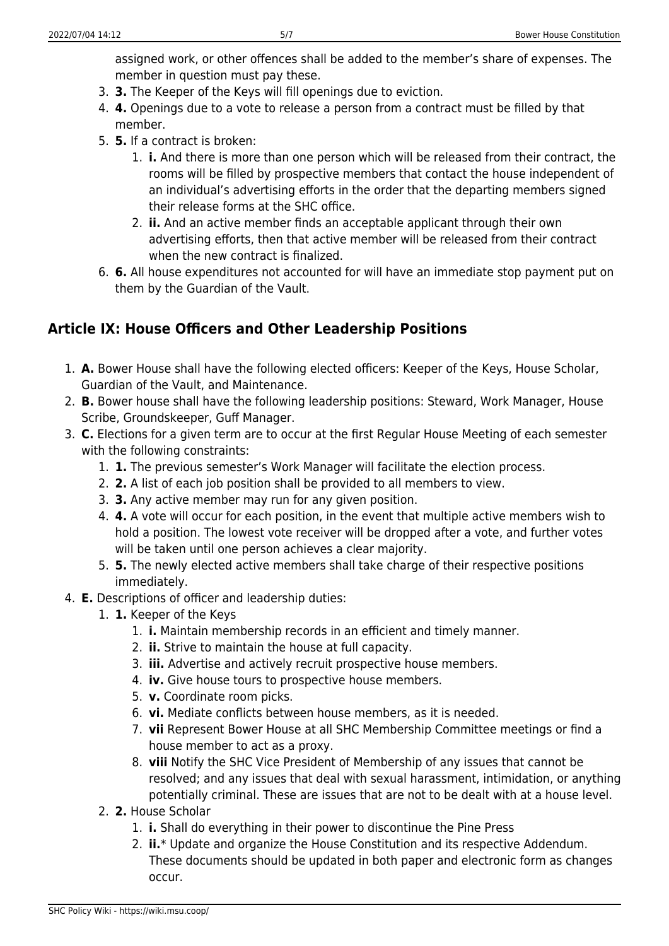assigned work, or other offences shall be added to the member's share of expenses. The member in question must pay these.

- 3. **3.** The Keeper of the Keys will fill openings due to eviction.
- 4. **4.** Openings due to a vote to release a person from a contract must be filled by that member.
- 5. **5.** If a contract is broken:
	- 1. **i.** And there is more than one person which will be released from their contract, the rooms will be filled by prospective members that contact the house independent of an individual's advertising efforts in the order that the departing members signed their release forms at the SHC office.
	- 2. **ii.** And an active member finds an acceptable applicant through their own advertising efforts, then that active member will be released from their contract when the new contract is finalized.
- 6. **6.** All house expenditures not accounted for will have an immediate stop payment put on them by the Guardian of the Vault.

### **Article IX: House Officers and Other Leadership Positions**

- 1. **A.** Bower House shall have the following elected officers: Keeper of the Keys, House Scholar, Guardian of the Vault, and Maintenance.
- 2. **B.** Bower house shall have the following leadership positions: Steward, Work Manager, House Scribe, Groundskeeper, Guff Manager.
- 3. **C.** Elections for a given term are to occur at the first Regular House Meeting of each semester with the following constraints:
	- 1. **1.** The previous semester's Work Manager will facilitate the election process.
	- 2. **2.** A list of each job position shall be provided to all members to view.
	- 3. **3.** Any active member may run for any given position.
	- 4. **4.** A vote will occur for each position, in the event that multiple active members wish to hold a position. The lowest vote receiver will be dropped after a vote, and further votes will be taken until one person achieves a clear majority.
	- 5. **5.** The newly elected active members shall take charge of their respective positions immediately.
- 4. **E.** Descriptions of officer and leadership duties:
	- 1. **1.** Keeper of the Keys
		- 1. **i.** Maintain membership records in an efficient and timely manner.
		- 2. **ii.** Strive to maintain the house at full capacity.
		- 3. **iii.** Advertise and actively recruit prospective house members.
		- 4. **iv.** Give house tours to prospective house members.
		- 5. **v.** Coordinate room picks.
		- 6. **vi.** Mediate conflicts between house members, as it is needed.
		- 7. **vii** Represent Bower House at all SHC Membership Committee meetings or find a house member to act as a proxy.
		- 8. **viii** Notify the SHC Vice President of Membership of any issues that cannot be resolved; and any issues that deal with sexual harassment, intimidation, or anything potentially criminal. These are issues that are not to be dealt with at a house level.
	- 2. **2.** House Scholar
		- 1. **i.** Shall do everything in their power to discontinue the Pine Press
		- 2. **ii.**\* Update and organize the House Constitution and its respective Addendum. These documents should be updated in both paper and electronic form as changes occur.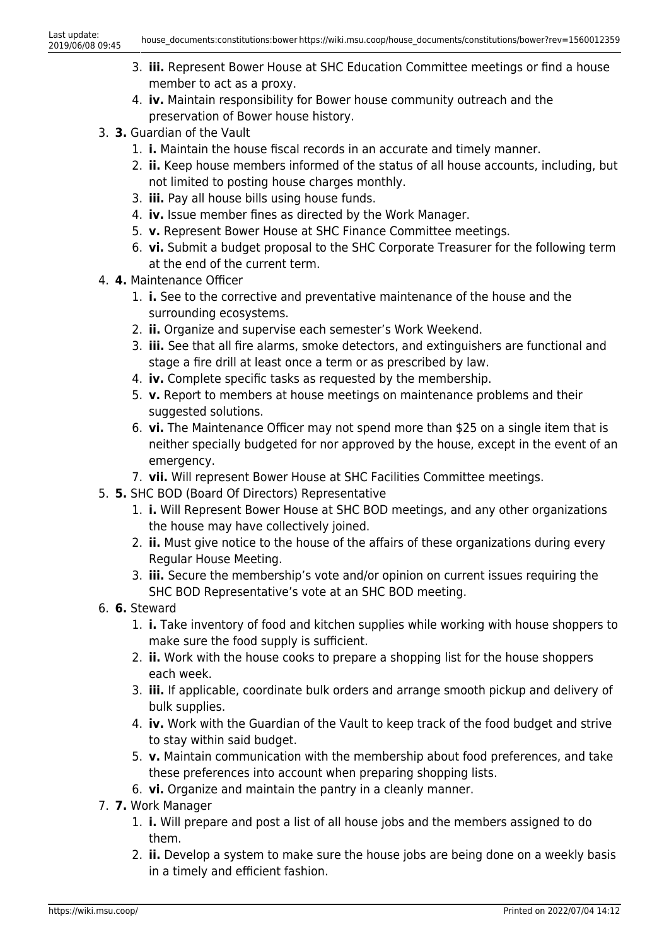- 3. **iii.** Represent Bower House at SHC Education Committee meetings or find a house member to act as a proxy.
- 4. **iv.** Maintain responsibility for Bower house community outreach and the preservation of Bower house history.
- 3. **3.** Guardian of the Vault
	- 1. **i.** Maintain the house fiscal records in an accurate and timely manner.
	- 2. **ii.** Keep house members informed of the status of all house accounts, including, but not limited to posting house charges monthly.
	- 3. **iii.** Pay all house bills using house funds.
	- 4. **iv.** Issue member fines as directed by the Work Manager.
	- 5. **v.** Represent Bower House at SHC Finance Committee meetings.
	- 6. **vi.** Submit a budget proposal to the SHC Corporate Treasurer for the following term at the end of the current term.
- 4. **4.** Maintenance Officer
	- 1. **i.** See to the corrective and preventative maintenance of the house and the surrounding ecosystems.
	- 2. **ii.** Organize and supervise each semester's Work Weekend.
	- 3. **iii.** See that all fire alarms, smoke detectors, and extinguishers are functional and stage a fire drill at least once a term or as prescribed by law.
	- 4. **iv.** Complete specific tasks as requested by the membership.
	- 5. **v.** Report to members at house meetings on maintenance problems and their suggested solutions.
	- 6. **vi.** The Maintenance Officer may not spend more than \$25 on a single item that is neither specially budgeted for nor approved by the house, except in the event of an emergency.
	- 7. **vii.** Will represent Bower House at SHC Facilities Committee meetings.
- 5. **5.** SHC BOD (Board Of Directors) Representative
	- 1. **i.** Will Represent Bower House at SHC BOD meetings, and any other organizations the house may have collectively joined.
	- 2. **ii.** Must give notice to the house of the affairs of these organizations during every Regular House Meeting.
	- 3. **iii.** Secure the membership's vote and/or opinion on current issues requiring the SHC BOD Representative's vote at an SHC BOD meeting.
- 6. **6.** Steward
	- 1. **i.** Take inventory of food and kitchen supplies while working with house shoppers to make sure the food supply is sufficient.
	- 2. **ii.** Work with the house cooks to prepare a shopping list for the house shoppers each week.
	- 3. **iii.** If applicable, coordinate bulk orders and arrange smooth pickup and delivery of bulk supplies.
	- 4. **iv.** Work with the Guardian of the Vault to keep track of the food budget and strive to stay within said budget.
	- 5. **v.** Maintain communication with the membership about food preferences, and take these preferences into account when preparing shopping lists.
	- 6. **vi.** Organize and maintain the pantry in a cleanly manner.
- 7. **7.** Work Manager
	- 1. **i.** Will prepare and post a list of all house jobs and the members assigned to do them.
	- 2. **ii.** Develop a system to make sure the house jobs are being done on a weekly basis in a timely and efficient fashion.